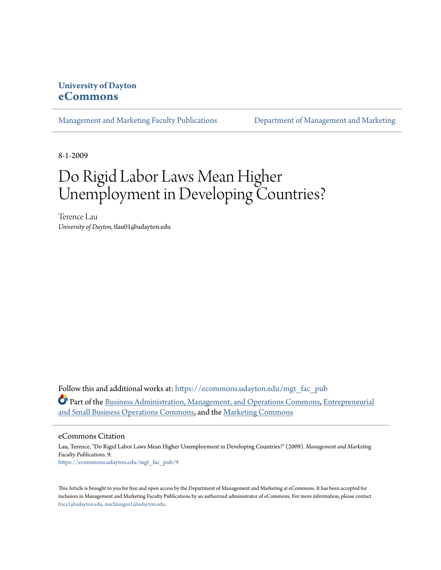### **University of Dayton [eCommons](https://ecommons.udayton.edu?utm_source=ecommons.udayton.edu%2Fmgt_fac_pub%2F9&utm_medium=PDF&utm_campaign=PDFCoverPages)**

[Management and Marketing Faculty Publications](https://ecommons.udayton.edu/mgt_fac_pub?utm_source=ecommons.udayton.edu%2Fmgt_fac_pub%2F9&utm_medium=PDF&utm_campaign=PDFCoverPages) [Department of Management and Marketing](https://ecommons.udayton.edu/mgt?utm_source=ecommons.udayton.edu%2Fmgt_fac_pub%2F9&utm_medium=PDF&utm_campaign=PDFCoverPages)

8-1-2009

# Do Rigid Labor Laws Mean Higher Unemployment in Developing Countries?

Terence Lau *University of Dayton*, tlau01@udayton.edu

Follow this and additional works at: [https://ecommons.udayton.edu/mgt\\_fac\\_pub](https://ecommons.udayton.edu/mgt_fac_pub?utm_source=ecommons.udayton.edu%2Fmgt_fac_pub%2F9&utm_medium=PDF&utm_campaign=PDFCoverPages) Part of the [Business Administration, Management, and Operations Commons](http://network.bepress.com/hgg/discipline/623?utm_source=ecommons.udayton.edu%2Fmgt_fac_pub%2F9&utm_medium=PDF&utm_campaign=PDFCoverPages), [Entrepreneurial](http://network.bepress.com/hgg/discipline/630?utm_source=ecommons.udayton.edu%2Fmgt_fac_pub%2F9&utm_medium=PDF&utm_campaign=PDFCoverPages) [and Small Business Operations Commons,](http://network.bepress.com/hgg/discipline/630?utm_source=ecommons.udayton.edu%2Fmgt_fac_pub%2F9&utm_medium=PDF&utm_campaign=PDFCoverPages) and the [Marketing Commons](http://network.bepress.com/hgg/discipline/638?utm_source=ecommons.udayton.edu%2Fmgt_fac_pub%2F9&utm_medium=PDF&utm_campaign=PDFCoverPages)

eCommons Citation

Lau, Terence, "Do Rigid Labor Laws Mean Higher Unemployment in Developing Countries?" (2009). *Management and Marketing Faculty Publications*. 9. [https://ecommons.udayton.edu/mgt\\_fac\\_pub/9](https://ecommons.udayton.edu/mgt_fac_pub/9?utm_source=ecommons.udayton.edu%2Fmgt_fac_pub%2F9&utm_medium=PDF&utm_campaign=PDFCoverPages)

This Article is brought to you for free and open access by the Department of Management and Marketing at eCommons. It has been accepted for inclusion in Management and Marketing Faculty Publications by an authorized administrator of eCommons. For more information, please contact [frice1@udayton.edu, mschlangen1@udayton.edu.](mailto:frice1@udayton.edu,%20mschlangen1@udayton.edu)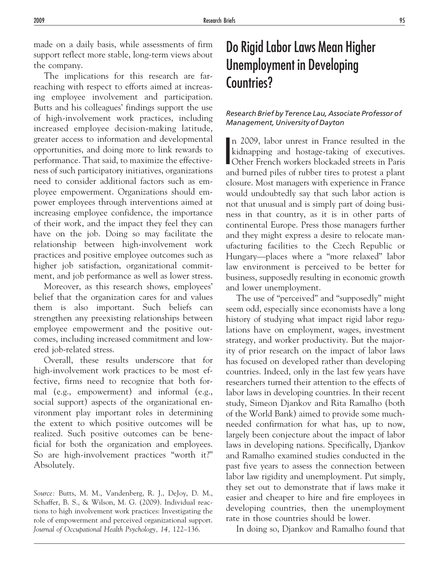made on a daily basis, while assessments of firm support reflect more stable, long-term views about the company.

The implications for this research are farreaching with respect to efforts aimed at increasing employee involvement and participation. Butts and his colleagues' findings support the use of high-involvement work practices, including increased employee decision-making latitude, greater access to information and developmental opportunities, and doing more to link rewards to performance. That said, to maximize the effectiveness of such participatory initiatives, organizations need to consider additional factors such as employee empowerment. Organizations should empower employees through interventions aimed at increasing employee confidence, the importance of their work, and the impact they feel they can have on the job. Doing so may facilitate the relationship between high-involvement work practices and positive employee outcomes such as higher job satisfaction, organizational commitment, and job performance as well as lower stress.

Moreover, as this research shows, employees' belief that the organization cares for and values them is also important. Such beliefs can strengthen any preexisting relationships between employee empowerment and the positive outcomes, including increased commitment and lowered job-related stress.

Overall, these results underscore that for high-involvement work practices to be most effective, firms need to recognize that both formal (e.g., empowerment) and informal (e.g., social support) aspects of the organizational environment play important roles in determining the extent to which positive outcomes will be realized. Such positive outcomes can be beneficial for both the organization and employees. So are high-involvement practices "worth it?" Absolutely.

*Source:* Butts, M. M., Vandenberg, R. J., DeJoy, D. M., Schaffer, B. S., & Wilson, M. G. (2009). Individual reactions to high involvement work practices: Investigating the role of empowerment and perceived organizational support. *Journal of Occupational Health Psychology, 14,* 122–136.

### Do Rigid Labor Laws Mean Higher Unemployment in Developing Countries?

#### *Research Brief by Terence Lau, Associate Professor of Management, University of Dayton*

In 2009, labor unrest in France resulted in the<br>kidnapping and hostage-taking of executives.<br>Other French workers blockaded streets in Paris n 2009, labor unrest in France resulted in the kidnapping and hostage-taking of executives. and burned piles of rubber tires to protest a plant closure. Most managers with experience in France would undoubtedly say that such labor action is not that unusual and is simply part of doing business in that country, as it is in other parts of continental Europe. Press those managers further and they might express a desire to relocate manufacturing facilities to the Czech Republic or Hungary—places where a "more relaxed" labor law environment is perceived to be better for business, supposedly resulting in economic growth and lower unemployment.

The use of "perceived" and "supposedly" might seem odd, especially since economists have a long history of studying what impact rigid labor regulations have on employment, wages, investment strategy, and worker productivity. But the majority of prior research on the impact of labor laws has focused on developed rather than developing countries. Indeed, only in the last few years have researchers turned their attention to the effects of labor laws in developing countries. In their recent study, Simeon Djankov and Rita Ramalho (both of the World Bank) aimed to provide some muchneeded confirmation for what has, up to now, largely been conjecture about the impact of labor laws in developing nations. Specifically, Djankov and Ramalho examined studies conducted in the past five years to assess the connection between labor law rigidity and unemployment. Put simply, they set out to demonstrate that if laws make it easier and cheaper to hire and fire employees in developing countries, then the unemployment rate in those countries should be lower.

In doing so, Djankov and Ramalho found that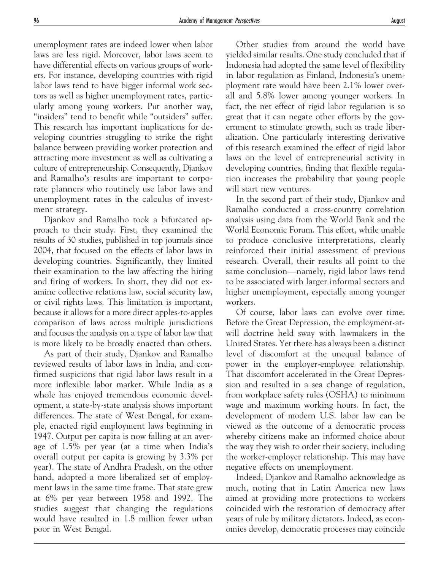unemployment rates are indeed lower when labor laws are less rigid. Moreover, labor laws seem to have differential effects on various groups of workers. For instance, developing countries with rigid labor laws tend to have bigger informal work sectors as well as higher unemployment rates, particularly among young workers. Put another way, "insiders" tend to benefit while "outsiders" suffer. This research has important implications for developing countries struggling to strike the right balance between providing worker protection and attracting more investment as well as cultivating a culture of entrepreneurship. Consequently, Djankov and Ramalho's results are important to corporate planners who routinely use labor laws and unemployment rates in the calculus of investment strategy.

Djankov and Ramalho took a bifurcated approach to their study. First, they examined the results of 30 studies, published in top journals since 2004, that focused on the effects of labor laws in developing countries. Significantly, they limited their examination to the law affecting the hiring and firing of workers. In short, they did not examine collective relations law, social security law, or civil rights laws. This limitation is important, because it allows for a more direct apples-to-apples comparison of laws across multiple jurisdictions and focuses the analysis on a type of labor law that is more likely to be broadly enacted than others.

As part of their study, Djankov and Ramalho reviewed results of labor laws in India, and confirmed suspicions that rigid labor laws result in a more inflexible labor market. While India as a whole has enjoyed tremendous economic development, a state-by-state analysis shows important differences. The state of West Bengal, for example, enacted rigid employment laws beginning in 1947. Output per capita is now falling at an average of 1.5% per year (at a time when India's overall output per capita is growing by 3.3% per year). The state of Andhra Pradesh, on the other hand, adopted a more liberalized set of employment laws in the same time frame. That state grew at 6% per year between 1958 and 1992. The studies suggest that changing the regulations would have resulted in 1.8 million fewer urban poor in West Bengal.

Other studies from around the world have yielded similar results. One study concluded that if Indonesia had adopted the same level of flexibility in labor regulation as Finland, Indonesia's unemployment rate would have been 2.1% lower overall and 5.8% lower among younger workers. In fact, the net effect of rigid labor regulation is so great that it can negate other efforts by the government to stimulate growth, such as trade liberalization. One particularly interesting derivative of this research examined the effect of rigid labor laws on the level of entrepreneurial activity in developing countries, finding that flexible regulation increases the probability that young people will start new ventures.

In the second part of their study, Djankov and Ramalho conducted a cross-country correlation analysis using data from the World Bank and the World Economic Forum. This effort, while unable to produce conclusive interpretations, clearly reinforced their initial assessment of previous research. Overall, their results all point to the same conclusion—namely, rigid labor laws tend to be associated with larger informal sectors and higher unemployment, especially among younger workers.

Of course, labor laws can evolve over time. Before the Great Depression, the employment-atwill doctrine held sway with lawmakers in the United States. Yet there has always been a distinct level of discomfort at the unequal balance of power in the employer-employee relationship. That discomfort accelerated in the Great Depression and resulted in a sea change of regulation, from workplace safety rules (OSHA) to minimum wage and maximum working hours. In fact, the development of modern U.S. labor law can be viewed as the outcome of a democratic process whereby citizens make an informed choice about the way they wish to order their society, including the worker-employer relationship. This may have negative effects on unemployment.

Indeed, Djankov and Ramalho acknowledge as much, noting that in Latin America new laws aimed at providing more protections to workers coincided with the restoration of democracy after years of rule by military dictators. Indeed, as economies develop, democratic processes may coincide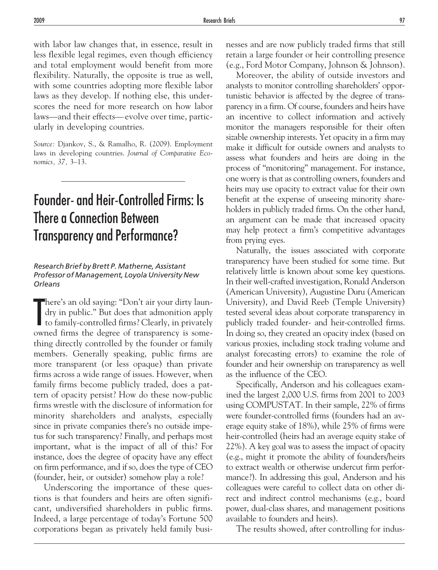with labor law changes that, in essence, result in less flexible legal regimes, even though efficiency and total employment would benefit from more flexibility. Naturally, the opposite is true as well, with some countries adopting more flexible labor laws as they develop. If nothing else, this underscores the need for more research on how labor laws—and their effects— evolve over time, particularly in developing countries.

*Source:* Djankov, S., & Ramalho, R. (2009). Employment laws in developing countries. *Journal of Comparative Economics, 37,* 3–13.

## Founder- and Heir-Controlled Firms: Is There a Connection Between Transparency and Performance?

#### *Research Brief by Brett P. Matherne, Assistant Professor of Management, Loyola University New Orleans*

T here's an old saying: "Don't air your dirty laundry in public." But does that admonition apply to family-controlled firms? Clearly, in privately owned firms the degree of transparency is something directly controlled by the founder or family members. Generally speaking, public firms are more transparent (or less opaque) than private firms across a wide range of issues. However, when family firms become publicly traded, does a pattern of opacity persist? How do these now-public firms wrestle with the disclosure of information for minority shareholders and analysts, especially since in private companies there's no outside impetus for such transparency? Finally, and perhaps most important, what is the impact of all of this? For instance, does the degree of opacity have any effect on firm performance, and if so, does the type of CEO (founder, heir, or outsider) somehow play a role?

Underscoring the importance of these questions is that founders and heirs are often significant, undiversified shareholders in public firms. Indeed, a large percentage of today's Fortune 500 corporations began as privately held family businesses and are now publicly traded firms that still retain a large founder or heir controlling presence (e.g., Ford Motor Company, Johnson & Johnson).

Moreover, the ability of outside investors and analysts to monitor controlling shareholders' opportunistic behavior is affected by the degree of transparency in a firm. Of course, founders and heirs have an incentive to collect information and actively monitor the managers responsible for their often sizable ownership interests. Yet opacity in a firm may make it difficult for outside owners and analysts to assess what founders and heirs are doing in the process of "monitoring" management. For instance, one worry is that as controlling owners, founders and heirs may use opacity to extract value for their own benefit at the expense of unseeing minority shareholders in publicly traded firms. On the other hand, an argument can be made that increased opacity may help protect a firm's competitive advantages from prying eyes.

Naturally, the issues associated with corporate transparency have been studied for some time. But relatively little is known about some key questions. In their well-crafted investigation, Ronald Anderson (American University), Augustine Duru (American University), and David Reeb (Temple University) tested several ideas about corporate transparency in publicly traded founder- and heir-controlled firms. In doing so, they created an opacity index (based on various proxies, including stock trading volume and analyst forecasting errors) to examine the role of founder and heir ownership on transparency as well as the influence of the CEO.

Specifically, Anderson and his colleagues examined the largest 2,000 U.S. firms from 2001 to 2003 using COMPUSTAT. In their sample, 22% of firms were founder-controlled firms (founders had an average equity stake of 18%), while 25% of firms were heir-controlled (heirs had an average equity stake of 22%). A key goal was to assess the impact of opacity (e.g., might it promote the ability of founders/heirs to extract wealth or otherwise undercut firm performance?). In addressing this goal, Anderson and his colleagues were careful to collect data on other direct and indirect control mechanisms (e.g., board power, dual-class shares, and management positions available to founders and heirs).

The results showed, after controlling for indus-